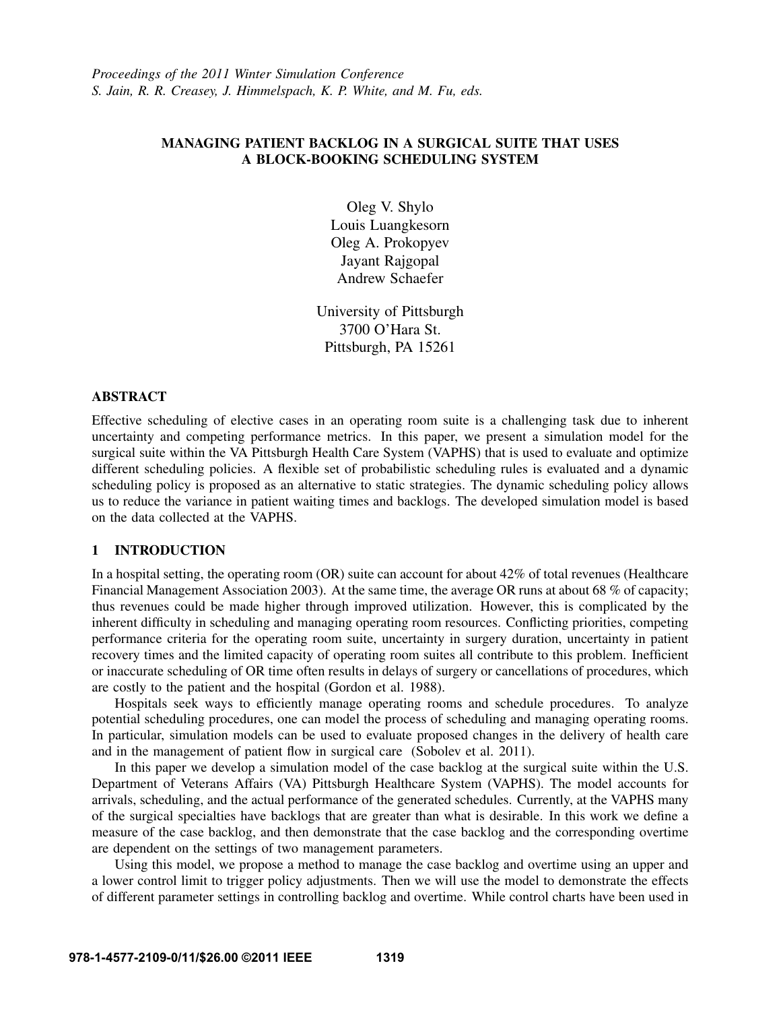# MANAGING PATIENT BACKLOG IN A SURGICAL SUITE THAT USES A BLOCK-BOOKING SCHEDULING SYSTEM

Oleg V. Shylo Louis Luangkesorn Oleg A. Prokopyev Jayant Rajgopal Andrew Schaefer

University of Pittsburgh 3700 O'Hara St. Pittsburgh, PA 15261

# ABSTRACT

Effective scheduling of elective cases in an operating room suite is a challenging task due to inherent uncertainty and competing performance metrics. In this paper, we present a simulation model for the surgical suite within the VA Pittsburgh Health Care System (VAPHS) that is used to evaluate and optimize different scheduling policies. A flexible set of probabilistic scheduling rules is evaluated and a dynamic scheduling policy is proposed as an alternative to static strategies. The dynamic scheduling policy allows us to reduce the variance in patient waiting times and backlogs. The developed simulation model is based on the data collected at the VAPHS.

### 1 INTRODUCTION

In a hospital setting, the operating room (OR) suite can account for about 42% of total revenues (Healthcare Financial Management Association 2003). At the same time, the average OR runs at about 68 % of capacity; thus revenues could be made higher through improved utilization. However, this is complicated by the inherent difficulty in scheduling and managing operating room resources. Conflicting priorities, competing performance criteria for the operating room suite, uncertainty in surgery duration, uncertainty in patient recovery times and the limited capacity of operating room suites all contribute to this problem. Inefficient or inaccurate scheduling of OR time often results in delays of surgery or cancellations of procedures, which are costly to the patient and the hospital (Gordon et al. 1988).

Hospitals seek ways to efficiently manage operating rooms and schedule procedures. To analyze potential scheduling procedures, one can model the process of scheduling and managing operating rooms. In particular, simulation models can be used to evaluate proposed changes in the delivery of health care and in the management of patient flow in surgical care (Sobolev et al. 2011).

In this paper we develop a simulation model of the case backlog at the surgical suite within the U.S. Department of Veterans Affairs (VA) Pittsburgh Healthcare System (VAPHS). The model accounts for arrivals, scheduling, and the actual performance of the generated schedules. Currently, at the VAPHS many of the surgical specialties have backlogs that are greater than what is desirable. In this work we define a measure of the case backlog, and then demonstrate that the case backlog and the corresponding overtime are dependent on the settings of two management parameters.

Using this model, we propose a method to manage the case backlog and overtime using an upper and a lower control limit to trigger policy adjustments. Then we will use the model to demonstrate the effects of different parameter settings in controlling backlog and overtime. While control charts have been used in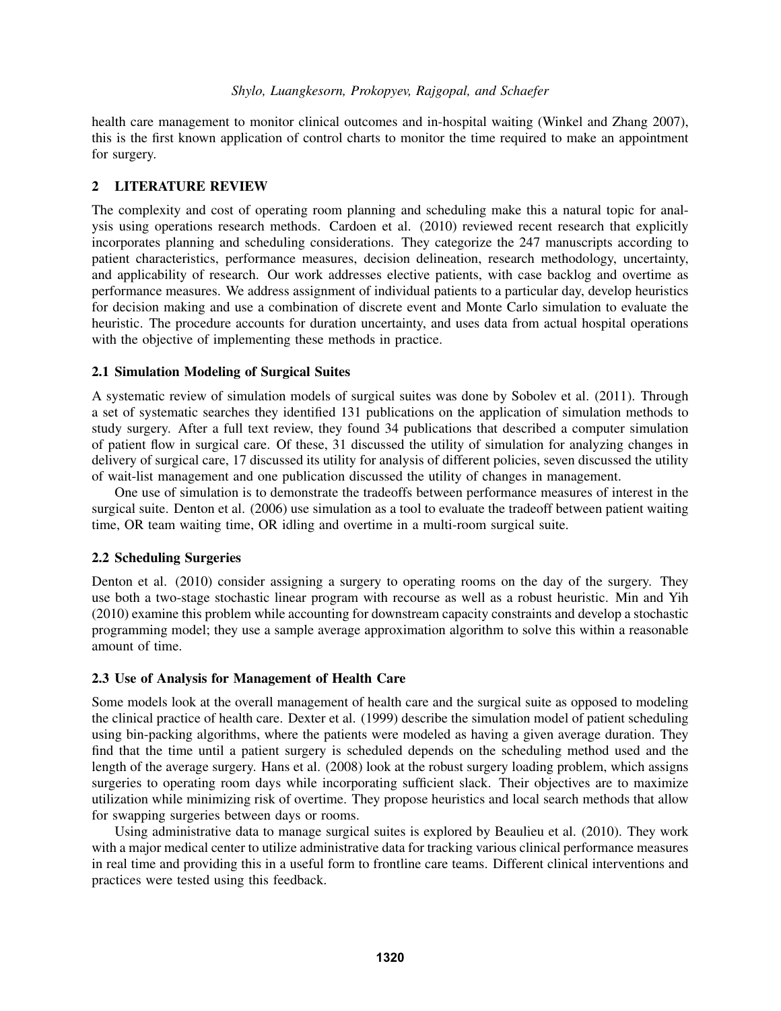health care management to monitor clinical outcomes and in-hospital waiting (Winkel and Zhang 2007), this is the first known application of control charts to monitor the time required to make an appointment for surgery.

# 2 LITERATURE REVIEW

The complexity and cost of operating room planning and scheduling make this a natural topic for analysis using operations research methods. Cardoen et al. (2010) reviewed recent research that explicitly incorporates planning and scheduling considerations. They categorize the 247 manuscripts according to patient characteristics, performance measures, decision delineation, research methodology, uncertainty, and applicability of research. Our work addresses elective patients, with case backlog and overtime as performance measures. We address assignment of individual patients to a particular day, develop heuristics for decision making and use a combination of discrete event and Monte Carlo simulation to evaluate the heuristic. The procedure accounts for duration uncertainty, and uses data from actual hospital operations with the objective of implementing these methods in practice.

# 2.1 Simulation Modeling of Surgical Suites

A systematic review of simulation models of surgical suites was done by Sobolev et al. (2011). Through a set of systematic searches they identified 131 publications on the application of simulation methods to study surgery. After a full text review, they found 34 publications that described a computer simulation of patient flow in surgical care. Of these, 31 discussed the utility of simulation for analyzing changes in delivery of surgical care, 17 discussed its utility for analysis of different policies, seven discussed the utility of wait-list management and one publication discussed the utility of changes in management.

One use of simulation is to demonstrate the tradeoffs between performance measures of interest in the surgical suite. Denton et al. (2006) use simulation as a tool to evaluate the tradeoff between patient waiting time, OR team waiting time, OR idling and overtime in a multi-room surgical suite.

#### 2.2 Scheduling Surgeries

Denton et al. (2010) consider assigning a surgery to operating rooms on the day of the surgery. They use both a two-stage stochastic linear program with recourse as well as a robust heuristic. Min and Yih (2010) examine this problem while accounting for downstream capacity constraints and develop a stochastic programming model; they use a sample average approximation algorithm to solve this within a reasonable amount of time.

# 2.3 Use of Analysis for Management of Health Care

Some models look at the overall management of health care and the surgical suite as opposed to modeling the clinical practice of health care. Dexter et al. (1999) describe the simulation model of patient scheduling using bin-packing algorithms, where the patients were modeled as having a given average duration. They find that the time until a patient surgery is scheduled depends on the scheduling method used and the length of the average surgery. Hans et al. (2008) look at the robust surgery loading problem, which assigns surgeries to operating room days while incorporating sufficient slack. Their objectives are to maximize utilization while minimizing risk of overtime. They propose heuristics and local search methods that allow for swapping surgeries between days or rooms.

Using administrative data to manage surgical suites is explored by Beaulieu et al. (2010). They work with a major medical center to utilize administrative data for tracking various clinical performance measures in real time and providing this in a useful form to frontline care teams. Different clinical interventions and practices were tested using this feedback.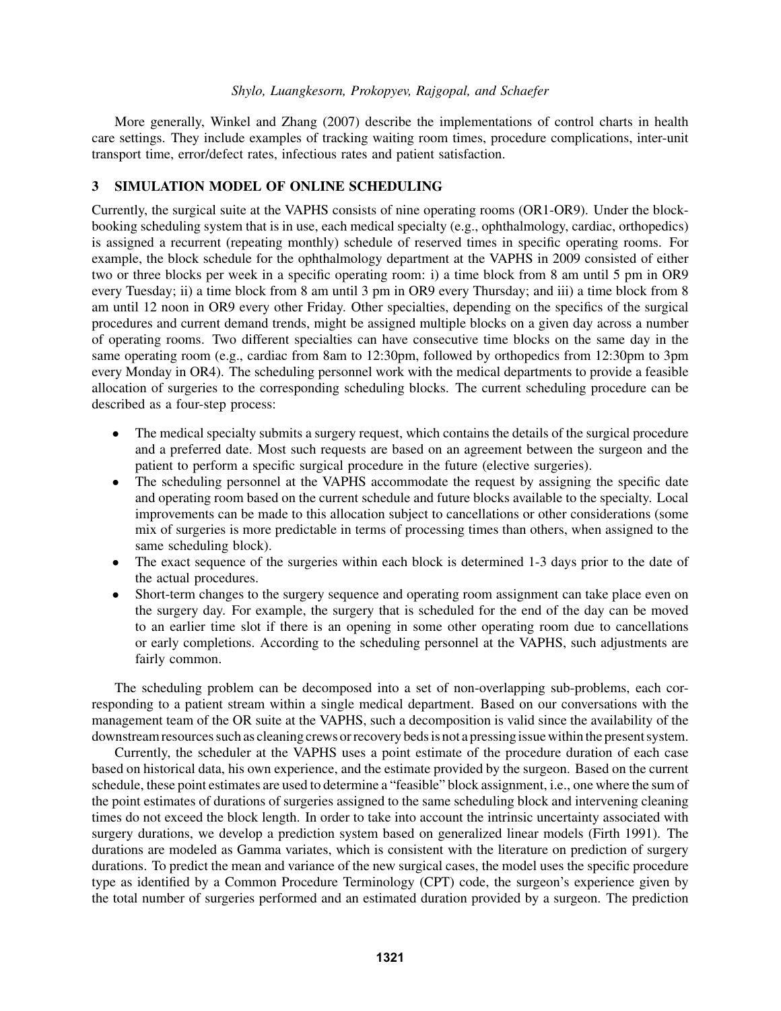More generally, Winkel and Zhang (2007) describe the implementations of control charts in health care settings. They include examples of tracking waiting room times, procedure complications, inter-unit transport time, error/defect rates, infectious rates and patient satisfaction.

# 3 SIMULATION MODEL OF ONLINE SCHEDULING

Currently, the surgical suite at the VAPHS consists of nine operating rooms (OR1-OR9). Under the blockbooking scheduling system that is in use, each medical specialty (e.g., ophthalmology, cardiac, orthopedics) is assigned a recurrent (repeating monthly) schedule of reserved times in specific operating rooms. For example, the block schedule for the ophthalmology department at the VAPHS in 2009 consisted of either two or three blocks per week in a specific operating room: i) a time block from 8 am until 5 pm in OR9 every Tuesday; ii) a time block from 8 am until 3 pm in OR9 every Thursday; and iii) a time block from 8 am until 12 noon in OR9 every other Friday. Other specialties, depending on the specifics of the surgical procedures and current demand trends, might be assigned multiple blocks on a given day across a number of operating rooms. Two different specialties can have consecutive time blocks on the same day in the same operating room (e.g., cardiac from 8am to 12:30pm, followed by orthopedics from 12:30pm to 3pm every Monday in OR4). The scheduling personnel work with the medical departments to provide a feasible allocation of surgeries to the corresponding scheduling blocks. The current scheduling procedure can be described as a four-step process:

- The medical specialty submits a surgery request, which contains the details of the surgical procedure and a preferred date. Most such requests are based on an agreement between the surgeon and the patient to perform a specific surgical procedure in the future (elective surgeries).
- The scheduling personnel at the VAPHS accommodate the request by assigning the specific date and operating room based on the current schedule and future blocks available to the specialty. Local improvements can be made to this allocation subject to cancellations or other considerations (some mix of surgeries is more predictable in terms of processing times than others, when assigned to the same scheduling block).
- The exact sequence of the surgeries within each block is determined 1-3 days prior to the date of the actual procedures.
- Short-term changes to the surgery sequence and operating room assignment can take place even on the surgery day. For example, the surgery that is scheduled for the end of the day can be moved to an earlier time slot if there is an opening in some other operating room due to cancellations or early completions. According to the scheduling personnel at the VAPHS, such adjustments are fairly common.

The scheduling problem can be decomposed into a set of non-overlapping sub-problems, each corresponding to a patient stream within a single medical department. Based on our conversations with the management team of the OR suite at the VAPHS, such a decomposition is valid since the availability of the downstream resources such as cleaning crews or recovery beds is not a pressing issue within the present system.

Currently, the scheduler at the VAPHS uses a point estimate of the procedure duration of each case based on historical data, his own experience, and the estimate provided by the surgeon. Based on the current schedule, these point estimates are used to determine a "feasible" block assignment, i.e., one where the sum of the point estimates of durations of surgeries assigned to the same scheduling block and intervening cleaning times do not exceed the block length. In order to take into account the intrinsic uncertainty associated with surgery durations, we develop a prediction system based on generalized linear models (Firth 1991). The durations are modeled as Gamma variates, which is consistent with the literature on prediction of surgery durations. To predict the mean and variance of the new surgical cases, the model uses the specific procedure type as identified by a Common Procedure Terminology (CPT) code, the surgeon's experience given by the total number of surgeries performed and an estimated duration provided by a surgeon. The prediction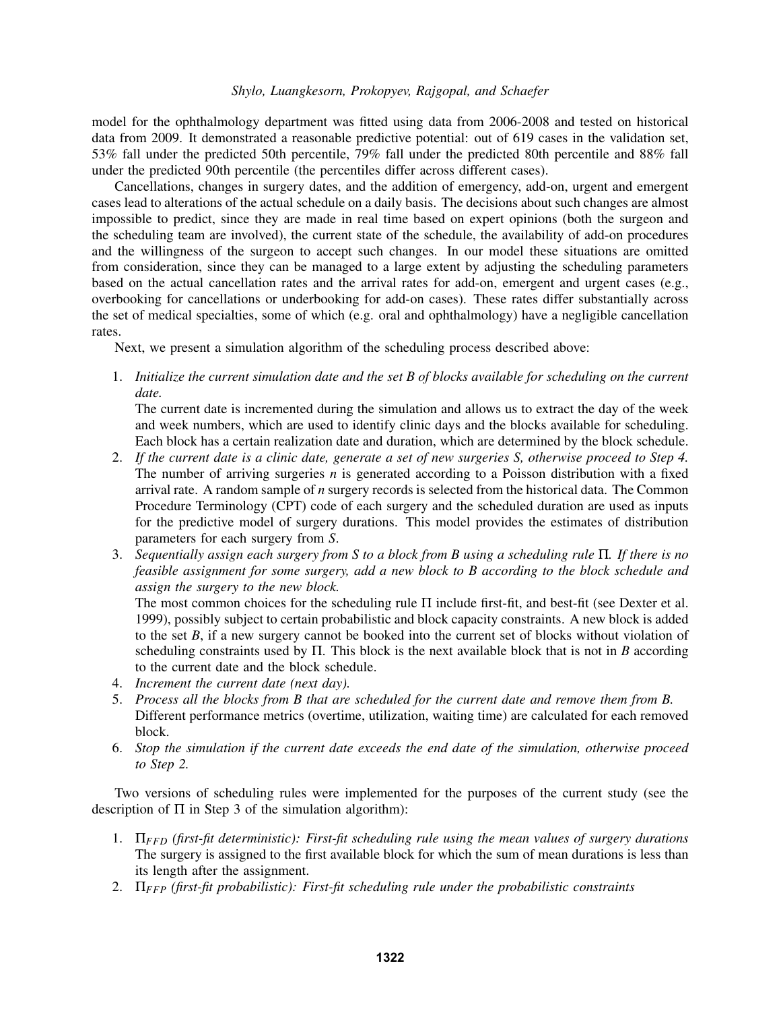model for the ophthalmology department was fitted using data from 2006-2008 and tested on historical data from 2009. It demonstrated a reasonable predictive potential: out of 619 cases in the validation set, 53% fall under the predicted 50th percentile, 79% fall under the predicted 80th percentile and 88% fall under the predicted 90th percentile (the percentiles differ across different cases).

Cancellations, changes in surgery dates, and the addition of emergency, add-on, urgent and emergent cases lead to alterations of the actual schedule on a daily basis. The decisions about such changes are almost impossible to predict, since they are made in real time based on expert opinions (both the surgeon and the scheduling team are involved), the current state of the schedule, the availability of add-on procedures and the willingness of the surgeon to accept such changes. In our model these situations are omitted from consideration, since they can be managed to a large extent by adjusting the scheduling parameters based on the actual cancellation rates and the arrival rates for add-on, emergent and urgent cases (e.g., overbooking for cancellations or underbooking for add-on cases). These rates differ substantially across the set of medical specialties, some of which (e.g. oral and ophthalmology) have a negligible cancellation rates.

Next, we present a simulation algorithm of the scheduling process described above:

1. *Initialize the current simulation date and the set B of blocks available for scheduling on the current date.*

The current date is incremented during the simulation and allows us to extract the day of the week and week numbers, which are used to identify clinic days and the blocks available for scheduling. Each block has a certain realization date and duration, which are determined by the block schedule.

- 2. *If the current date is a clinic date, generate a set of new surgeries S, otherwise proceed to Step 4.* The number of arriving surgeries *n* is generated according to a Poisson distribution with a fixed arrival rate. A random sample of *n* surgery records is selected from the historical data. The Common Procedure Terminology (CPT) code of each surgery and the scheduled duration are used as inputs for the predictive model of surgery durations. This model provides the estimates of distribution parameters for each surgery from *S*.
- 3. *Sequentially assign each surgery from S to a block from B using a scheduling rule* Π*. If there is no feasible assignment for some surgery, add a new block to B according to the block schedule and assign the surgery to the new block.*

The most common choices for the scheduling rule Π include first-fit, and best-fit (see Dexter et al. 1999), possibly subject to certain probabilistic and block capacity constraints. A new block is added to the set *B*, if a new surgery cannot be booked into the current set of blocks without violation of scheduling constraints used by Π. This block is the next available block that is not in *B* according to the current date and the block schedule.

- 4. *Increment the current date (next day).*
- 5. *Process all the blocks from B that are scheduled for the current date and remove them from B.* Different performance metrics (overtime, utilization, waiting time) are calculated for each removed block.
- 6. *Stop the simulation if the current date exceeds the end date of the simulation, otherwise proceed to Step 2.*

Two versions of scheduling rules were implemented for the purposes of the current study (see the description of  $\Pi$  in Step 3 of the simulation algorithm):

- 1. Π*FFD (first-fit deterministic): First-fit scheduling rule using the mean values of surgery durations* The surgery is assigned to the first available block for which the sum of mean durations is less than its length after the assignment.
- 2. Π*FFP (first-fit probabilistic): First-fit scheduling rule under the probabilistic constraints*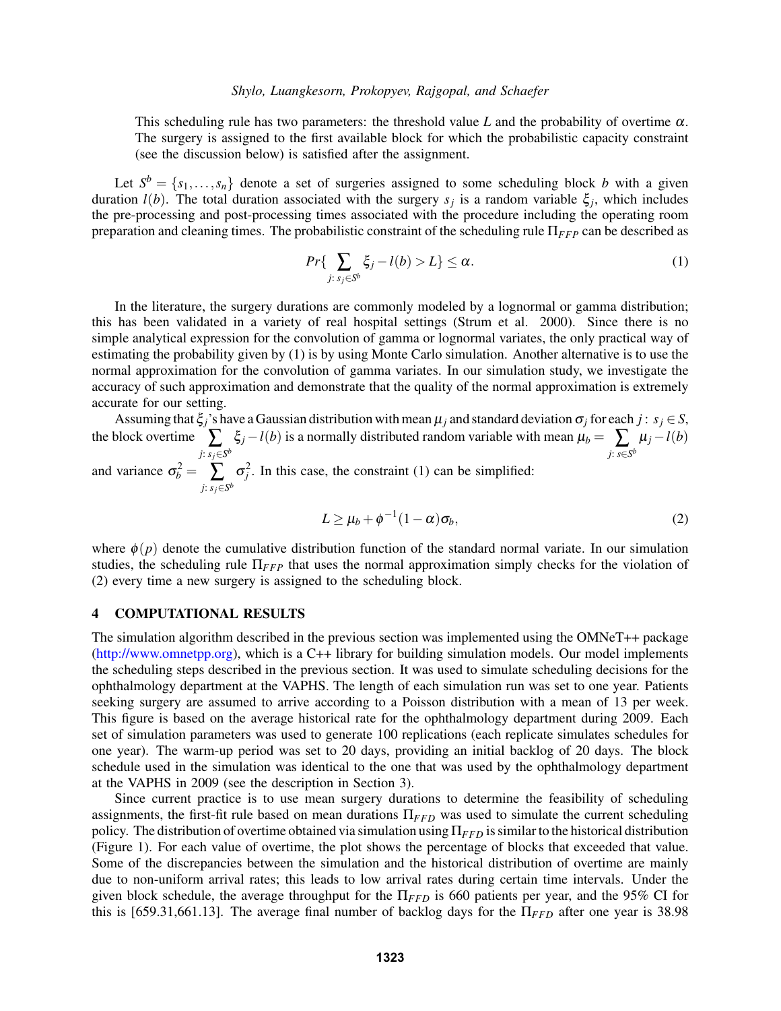This scheduling rule has two parameters: the threshold value L and the probability of overtime  $\alpha$ . The surgery is assigned to the first available block for which the probabilistic capacity constraint (see the discussion below) is satisfied after the assignment.

Let  $S^b = \{s_1, \ldots, s_n\}$  denote a set of surgeries assigned to some scheduling block *b* with a given duration *l*(*b*). The total duration associated with the surgery *s<sup>j</sup>* is a random variable ξ*<sup>j</sup>* , which includes the pre-processing and post-processing times associated with the procedure including the operating room preparation and cleaning times. The probabilistic constraint of the scheduling rule Π*FFP* can be described as

$$
Pr\{\sum_{j:\,s_j\in S^b}\xi_j-l(b)>L\}\leq\alpha.\tag{1}
$$

In the literature, the surgery durations are commonly modeled by a lognormal or gamma distribution; this has been validated in a variety of real hospital settings (Strum et al. 2000). Since there is no simple analytical expression for the convolution of gamma or lognormal variates, the only practical way of estimating the probability given by (1) is by using Monte Carlo simulation. Another alternative is to use the normal approximation for the convolution of gamma variates. In our simulation study, we investigate the accuracy of such approximation and demonstrate that the quality of the normal approximation is extremely accurate for our setting.

Assuming that  $\xi_j$ 's have a Gaussian distribution with mean  $\mu_j$  and standard deviation  $\sigma_j$  for each  $j : s_j \in S$ , the block overtime  $\sum_{j: s_j \in S^b} \xi_j - l(b)$  is a normally distributed random variable with mean  $\mu_b = \sum_{j: s \in S^b} \mu_j - l(b)$ and variance  $\sigma_b^2 = \sum_{j: s_j \in S^b} \sigma_j^2$ . In this case, the constraint (1) can be simplified:

$$
L \ge \mu_b + \phi^{-1}(1-\alpha)\sigma_b, \tag{2}
$$

where  $\phi(p)$  denote the cumulative distribution function of the standard normal variate. In our simulation studies, the scheduling rule Π*FFP* that uses the normal approximation simply checks for the violation of (2) every time a new surgery is assigned to the scheduling block.

### 4 COMPUTATIONAL RESULTS

The simulation algorithm described in the previous section was implemented using the OMNeT++ package (http://www.omnetpp.org), which is a C++ library for building simulation models. Our model implements the scheduling steps described in the previous section. It was used to simulate scheduling decisions for the ophthalmology department at the VAPHS. The length of each simulation run was set to one year. Patients seeking surgery are assumed to arrive according to a Poisson distribution with a mean of 13 per week. This figure is based on the average historical rate for the ophthalmology department during 2009. Each set of simulation parameters was used to generate 100 replications (each replicate simulates schedules for one year). The warm-up period was set to 20 days, providing an initial backlog of 20 days. The block schedule used in the simulation was identical to the one that was used by the ophthalmology department at the VAPHS in 2009 (see the description in Section 3).

Since current practice is to use mean surgery durations to determine the feasibility of scheduling assignments, the first-fit rule based on mean durations Π*FFD* was used to simulate the current scheduling policy. The distribution of overtime obtained via simulation using Π*FFD* is similar to the historical distribution (Figure 1). For each value of overtime, the plot shows the percentage of blocks that exceeded that value. Some of the discrepancies between the simulation and the historical distribution of overtime are mainly due to non-uniform arrival rates; this leads to low arrival rates during certain time intervals. Under the given block schedule, the average throughput for the Π*FFD* is 660 patients per year, and the 95% CI for this is [659.31,661.13]. The average final number of backlog days for the Π*FFD* after one year is 38.98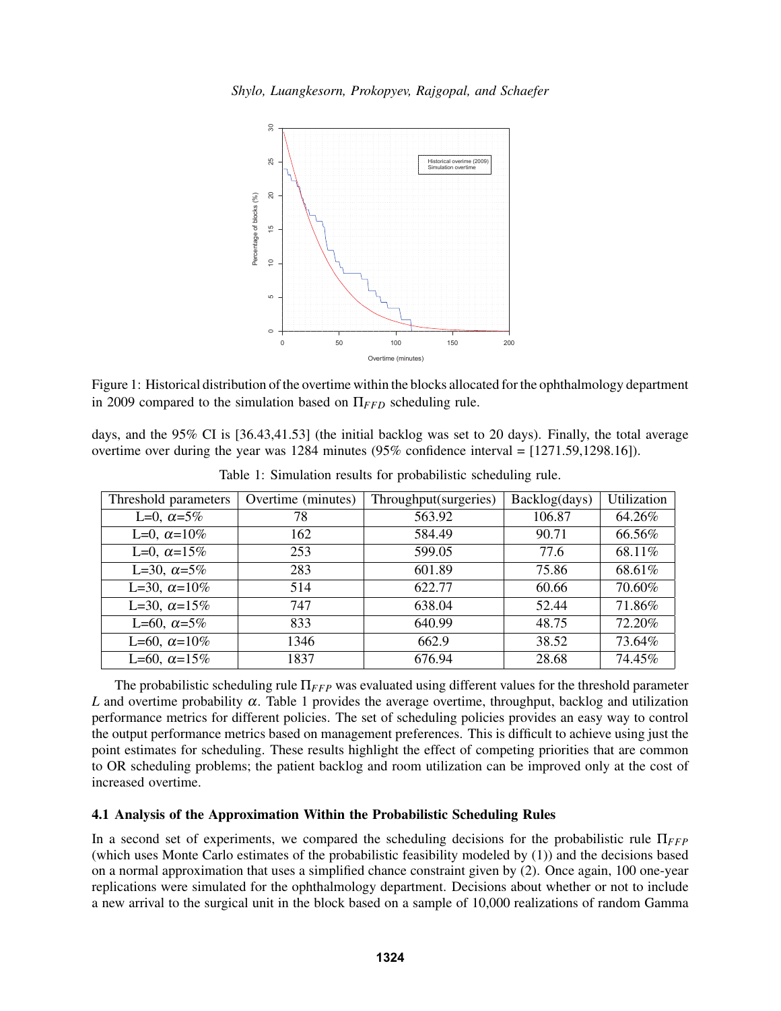

Figure 1: Historical distribution of the overtime within the blocks allocated for the ophthalmology department in 2009 compared to the simulation based on Π*FFD* scheduling rule.

days, and the 95% CI is [36.43,41.53] (the initial backlog was set to 20 days). Finally, the total average overtime over during the year was 1284 minutes (95% confidence interval = [1271.59,1298.16]).

| Threshold parameters | Overtime (minutes) | Throughput(surgeries) | Backlog(days) | Utilization |
|----------------------|--------------------|-----------------------|---------------|-------------|
| L=0, $\alpha$ =5%    | 78                 | 563.92                | 106.87        | 64.26%      |
| L=0, $\alpha$ =10%   | 162                | 584.49                | 90.71         | 66.56%      |
| L=0, $\alpha$ =15%   | 253                | 599.05                | 77.6          | 68.11%      |
| L=30, $\alpha$ =5%   | 283                | 601.89                | 75.86         | 68.61%      |
| L=30, $\alpha$ =10%  | 514                | 622.77                | 60.66         | 70.60%      |
| L=30, $\alpha$ =15%  | 747                | 638.04                | 52.44         | 71.86%      |
| L=60, $\alpha$ =5%   | 833                | 640.99                | 48.75         | 72.20%      |
| L=60, $\alpha$ =10%  | 1346               | 662.9                 | 38.52         | 73.64%      |
| L=60, $\alpha$ =15%  | 1837               | 676.94                | 28.68         | 74.45%      |

Table 1: Simulation results for probabilistic scheduling rule.

The probabilistic scheduling rule Π*FFP* was evaluated using different values for the threshold parameter *L* and overtime probability  $\alpha$ . Table 1 provides the average overtime, throughput, backlog and utilization performance metrics for different policies. The set of scheduling policies provides an easy way to control the output performance metrics based on management preferences. This is difficult to achieve using just the point estimates for scheduling. These results highlight the effect of competing priorities that are common to OR scheduling problems; the patient backlog and room utilization can be improved only at the cost of increased overtime.

# 4.1 Analysis of the Approximation Within the Probabilistic Scheduling Rules

In a second set of experiments, we compared the scheduling decisions for the probabilistic rule Π*FFP* (which uses Monte Carlo estimates of the probabilistic feasibility modeled by (1)) and the decisions based on a normal approximation that uses a simplified chance constraint given by (2). Once again, 100 one-year replications were simulated for the ophthalmology department. Decisions about whether or not to include a new arrival to the surgical unit in the block based on a sample of 10,000 realizations of random Gamma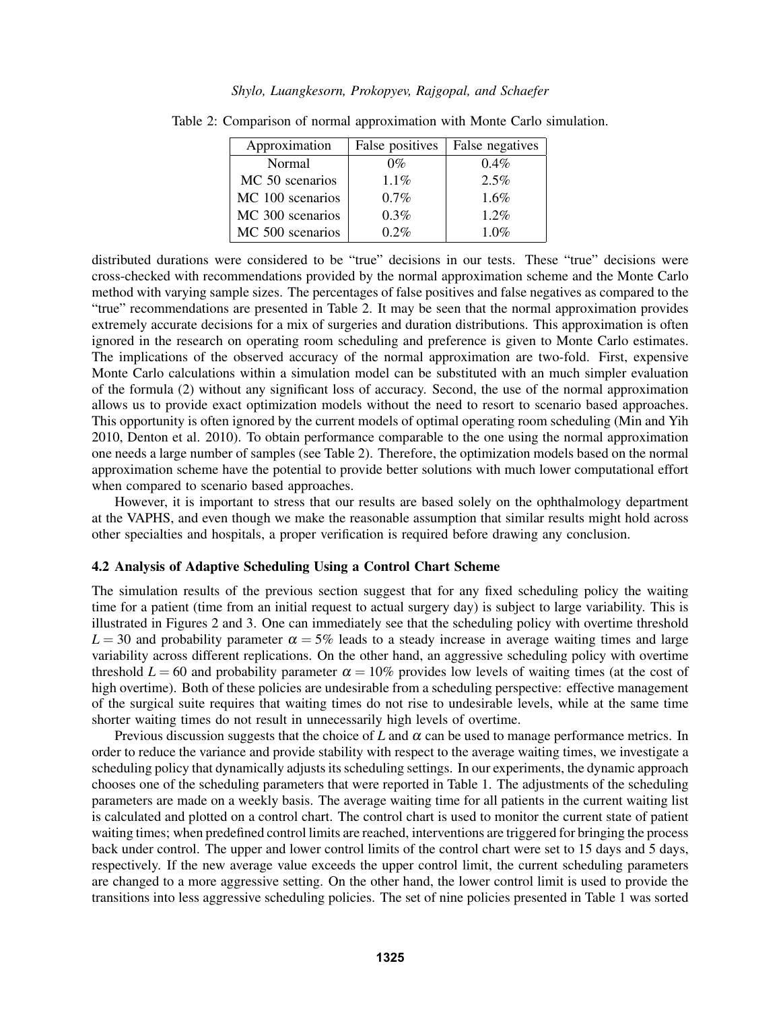| Approximation    | False positives | False negatives |
|------------------|-----------------|-----------------|
| Normal           | $0\%$           | $0.4\%$         |
| MC 50 scenarios  | $1.1\%$         | 2.5%            |
| MC 100 scenarios | 0.7%            | 1.6%            |
| MC 300 scenarios | 0.3%            | 1.2%            |
| MC 500 scenarios | 0.2%            | 1.0%            |

Table 2: Comparison of normal approximation with Monte Carlo simulation.

distributed durations were considered to be "true" decisions in our tests. These "true" decisions were cross-checked with recommendations provided by the normal approximation scheme and the Monte Carlo method with varying sample sizes. The percentages of false positives and false negatives as compared to the "true" recommendations are presented in Table 2. It may be seen that the normal approximation provides extremely accurate decisions for a mix of surgeries and duration distributions. This approximation is often ignored in the research on operating room scheduling and preference is given to Monte Carlo estimates. The implications of the observed accuracy of the normal approximation are two-fold. First, expensive Monte Carlo calculations within a simulation model can be substituted with an much simpler evaluation of the formula (2) without any significant loss of accuracy. Second, the use of the normal approximation allows us to provide exact optimization models without the need to resort to scenario based approaches. This opportunity is often ignored by the current models of optimal operating room scheduling (Min and Yih 2010, Denton et al. 2010). To obtain performance comparable to the one using the normal approximation one needs a large number of samples (see Table 2). Therefore, the optimization models based on the normal approximation scheme have the potential to provide better solutions with much lower computational effort when compared to scenario based approaches.

However, it is important to stress that our results are based solely on the ophthalmology department at the VAPHS, and even though we make the reasonable assumption that similar results might hold across other specialties and hospitals, a proper verification is required before drawing any conclusion.

### 4.2 Analysis of Adaptive Scheduling Using a Control Chart Scheme

The simulation results of the previous section suggest that for any fixed scheduling policy the waiting time for a patient (time from an initial request to actual surgery day) is subject to large variability. This is illustrated in Figures 2 and 3. One can immediately see that the scheduling policy with overtime threshold  $L = 30$  and probability parameter  $\alpha = 5\%$  leads to a steady increase in average waiting times and large variability across different replications. On the other hand, an aggressive scheduling policy with overtime threshold  $L = 60$  and probability parameter  $\alpha = 10\%$  provides low levels of waiting times (at the cost of high overtime). Both of these policies are undesirable from a scheduling perspective: effective management of the surgical suite requires that waiting times do not rise to undesirable levels, while at the same time shorter waiting times do not result in unnecessarily high levels of overtime.

Previous discussion suggests that the choice of *L* and  $\alpha$  can be used to manage performance metrics. In order to reduce the variance and provide stability with respect to the average waiting times, we investigate a scheduling policy that dynamically adjusts its scheduling settings. In our experiments, the dynamic approach chooses one of the scheduling parameters that were reported in Table 1. The adjustments of the scheduling parameters are made on a weekly basis. The average waiting time for all patients in the current waiting list is calculated and plotted on a control chart. The control chart is used to monitor the current state of patient waiting times; when predefined control limits are reached, interventions are triggered for bringing the process back under control. The upper and lower control limits of the control chart were set to 15 days and 5 days, respectively. If the new average value exceeds the upper control limit, the current scheduling parameters are changed to a more aggressive setting. On the other hand, the lower control limit is used to provide the transitions into less aggressive scheduling policies. The set of nine policies presented in Table 1 was sorted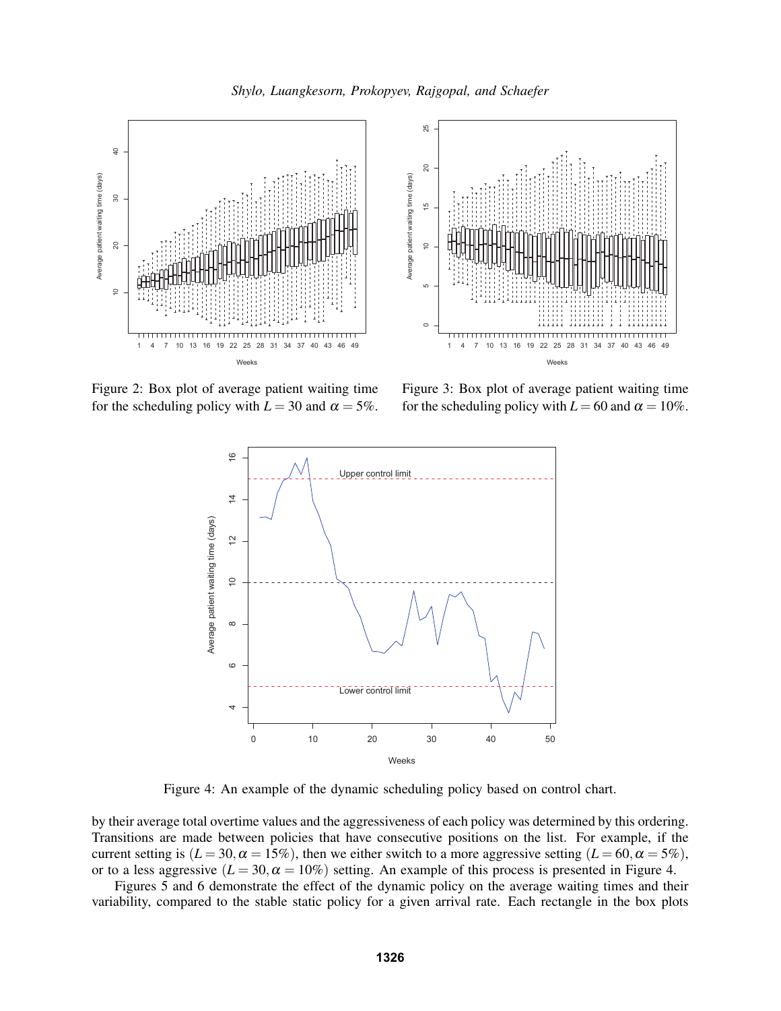



Figure 2: Box plot of average patient waiting time for the scheduling policy with  $L = 30$  and  $\alpha = 5\%$ .

Figure 3: Box plot of average patient waiting time for the scheduling policy with  $L = 60$  and  $\alpha = 10\%$ .



Figure 4: An example of the dynamic scheduling policy based on control chart.

by their average total overtime values and the aggressiveness of each policy was determined by this ordering. Transitions are made between policies that have consecutive positions on the list. For example, if the current setting is  $(L = 30, \alpha = 15\%)$ , then we either switch to a more aggressive setting  $(L = 60, \alpha = 5\%)$ , or to a less aggressive  $(L = 30, \alpha = 10\%)$  setting. An example of this process is presented in Figure 4.

Figures 5 and 6 demonstrate the effect of the dynamic policy on the average waiting times and their variability, compared to the stable static policy for a given arrival rate. Each rectangle in the box plots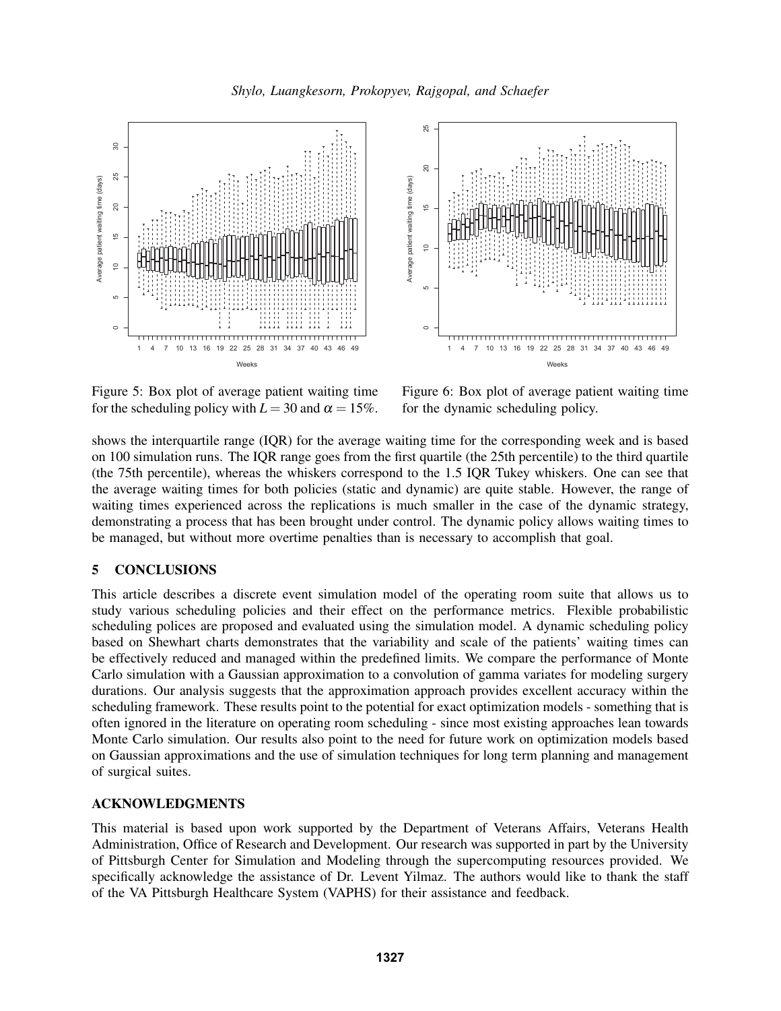



Figure 5: Box plot of average patient waiting time for the scheduling policy with  $L = 30$  and  $\alpha = 15\%$ .

Figure 6: Box plot of average patient waiting time for the dynamic scheduling policy.

shows the interquartile range (IQR) for the average waiting time for the corresponding week and is based on 100 simulation runs. The IQR range goes from the first quartile (the 25th percentile) to the third quartile (the 75th percentile), whereas the whiskers correspond to the 1.5 IQR Tukey whiskers. One can see that the average waiting times for both policies (static and dynamic) are quite stable. However, the range of waiting times experienced across the replications is much smaller in the case of the dynamic strategy, demonstrating a process that has been brought under control. The dynamic policy allows waiting times to be managed, but without more overtime penalties than is necessary to accomplish that goal.

# 5 CONCLUSIONS

This article describes a discrete event simulation model of the operating room suite that allows us to study various scheduling policies and their effect on the performance metrics. Flexible probabilistic scheduling polices are proposed and evaluated using the simulation model. A dynamic scheduling policy based on Shewhart charts demonstrates that the variability and scale of the patients' waiting times can be effectively reduced and managed within the predefined limits. We compare the performance of Monte Carlo simulation with a Gaussian approximation to a convolution of gamma variates for modeling surgery durations. Our analysis suggests that the approximation approach provides excellent accuracy within the scheduling framework. These results point to the potential for exact optimization models - something that is often ignored in the literature on operating room scheduling - since most existing approaches lean towards Monte Carlo simulation. Our results also point to the need for future work on optimization models based on Gaussian approximations and the use of simulation techniques for long term planning and management of surgical suites.

# ACKNOWLEDGMENTS

This material is based upon work supported by the Department of Veterans Affairs, Veterans Health Administration, Office of Research and Development. Our research was supported in part by the University of Pittsburgh Center for Simulation and Modeling through the supercomputing resources provided. We specifically acknowledge the assistance of Dr. Levent Yilmaz. The authors would like to thank the staff of the VA Pittsburgh Healthcare System (VAPHS) for their assistance and feedback.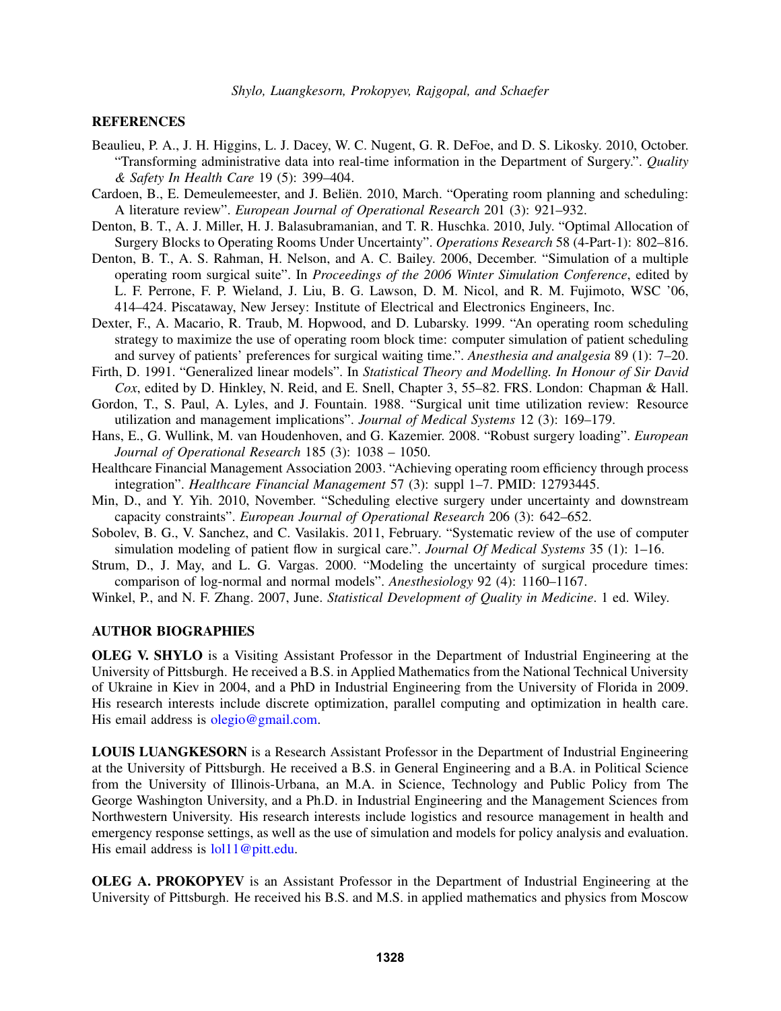### **REFERENCES**

- Beaulieu, P. A., J. H. Higgins, L. J. Dacey, W. C. Nugent, G. R. DeFoe, and D. S. Likosky. 2010, October. "Transforming administrative data into real-time information in the Department of Surgery.". *Quality & Safety In Health Care* 19 (5): 399–404.
- Cardoen, B., E. Demeulemeester, and J. Beliën. 2010, March. "Operating room planning and scheduling: A literature review". *European Journal of Operational Research* 201 (3): 921–932.
- Denton, B. T., A. J. Miller, H. J. Balasubramanian, and T. R. Huschka. 2010, July. "Optimal Allocation of Surgery Blocks to Operating Rooms Under Uncertainty". *Operations Research* 58 (4-Part-1): 802–816.
- Denton, B. T., A. S. Rahman, H. Nelson, and A. C. Bailey. 2006, December. "Simulation of a multiple operating room surgical suite". In *Proceedings of the 2006 Winter Simulation Conference*, edited by L. F. Perrone, F. P. Wieland, J. Liu, B. G. Lawson, D. M. Nicol, and R. M. Fujimoto, WSC '06, 414–424. Piscataway, New Jersey: Institute of Electrical and Electronics Engineers, Inc.
- Dexter, F., A. Macario, R. Traub, M. Hopwood, and D. Lubarsky. 1999. "An operating room scheduling strategy to maximize the use of operating room block time: computer simulation of patient scheduling and survey of patients' preferences for surgical waiting time.". *Anesthesia and analgesia* 89 (1): 7–20.
- Firth, D. 1991. "Generalized linear models". In *Statistical Theory and Modelling. In Honour of Sir David Cox*, edited by D. Hinkley, N. Reid, and E. Snell, Chapter 3, 55–82. FRS. London: Chapman & Hall.
- Gordon, T., S. Paul, A. Lyles, and J. Fountain. 1988. "Surgical unit time utilization review: Resource utilization and management implications". *Journal of Medical Systems* 12 (3): 169–179.
- Hans, E., G. Wullink, M. van Houdenhoven, and G. Kazemier. 2008. "Robust surgery loading". *European Journal of Operational Research* 185 (3): 1038 – 1050.
- Healthcare Financial Management Association 2003. "Achieving operating room efficiency through process integration". *Healthcare Financial Management* 57 (3): suppl 1–7. PMID: 12793445.
- Min, D., and Y. Yih. 2010, November. "Scheduling elective surgery under uncertainty and downstream capacity constraints". *European Journal of Operational Research* 206 (3): 642–652.
- Sobolev, B. G., V. Sanchez, and C. Vasilakis. 2011, February. "Systematic review of the use of computer simulation modeling of patient flow in surgical care.". *Journal Of Medical Systems* 35 (1): 1–16.
- Strum, D., J. May, and L. G. Vargas. 2000. "Modeling the uncertainty of surgical procedure times: comparison of log-normal and normal models". *Anesthesiology* 92 (4): 1160–1167.
- Winkel, P., and N. F. Zhang. 2007, June. *Statistical Development of Quality in Medicine*. 1 ed. Wiley.

# AUTHOR BIOGRAPHIES

OLEG V. SHYLO is a Visiting Assistant Professor in the Department of Industrial Engineering at the University of Pittsburgh. He received a B.S. in Applied Mathematics from the National Technical University of Ukraine in Kiev in 2004, and a PhD in Industrial Engineering from the University of Florida in 2009. His research interests include discrete optimization, parallel computing and optimization in health care. His email address is olegio@gmail.com.

LOUIS LUANGKESORN is a Research Assistant Professor in the Department of Industrial Engineering at the University of Pittsburgh. He received a B.S. in General Engineering and a B.A. in Political Science from the University of Illinois-Urbana, an M.A. in Science, Technology and Public Policy from The George Washington University, and a Ph.D. in Industrial Engineering and the Management Sciences from Northwestern University. His research interests include logistics and resource management in health and emergency response settings, as well as the use of simulation and models for policy analysis and evaluation. His email address is  $\text{Io}11@$  pitt.edu.

OLEG A. PROKOPYEV is an Assistant Professor in the Department of Industrial Engineering at the University of Pittsburgh. He received his B.S. and M.S. in applied mathematics and physics from Moscow